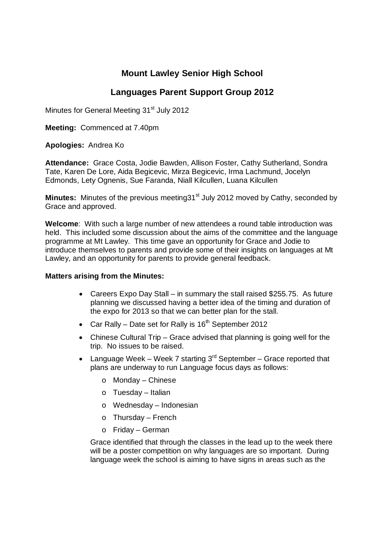## **Mount Lawley Senior High School**

## **Languages Parent Support Group 2012**

Minutes for General Meeting 31<sup>st</sup> July 2012

**Meeting:** Commenced at 7.40pm

**Apologies:** Andrea Ko

**Attendance:** Grace Costa, Jodie Bawden, Allison Foster, Cathy Sutherland, Sondra Tate, Karen De Lore, Aida Begicevic, Mirza Begicevic, Irma Lachmund, Jocelyn Edmonds, Lety Ognenis, Sue Faranda, Niall Kilcullen, Luana Kilcullen

**Minutes:** Minutes of the previous meeting 31<sup>st</sup> July 2012 moved by Cathy, seconded by Grace and approved.

**Welcome**: With such a large number of new attendees a round table introduction was held. This included some discussion about the aims of the committee and the language programme at Mt Lawley. This time gave an opportunity for Grace and Jodie to introduce themselves to parents and provide some of their insights on languages at Mt Lawley, and an opportunity for parents to provide general feedback.

## **Matters arising from the Minutes:**

- Careers Expo Day Stall in summary the stall raised \$255.75. As future planning we discussed having a better idea of the timing and duration of the expo for 2013 so that we can better plan for the stall.
- Car Rally Date set for Rally is  $16<sup>th</sup>$  September 2012
- Chinese Cultural Trip Grace advised that planning is going well for the trip. No issues to be raised.
- Language Week Week 7 starting  $3<sup>rd</sup>$  September Grace reported that plans are underway to run Language focus days as follows:
	- o Monday Chinese
	- o Tuesday Italian
	- o Wednesday Indonesian
	- o Thursday French
	- o Friday German

Grace identified that through the classes in the lead up to the week there will be a poster competition on why languages are so important. During language week the school is aiming to have signs in areas such as the